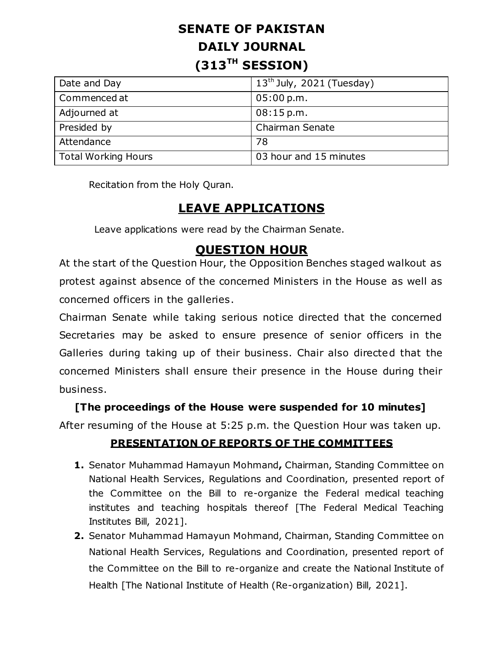# **SENATE OF PAKISTAN DAILY JOURNAL (313TH SESSION)**

| Date and Day               | $13th$ July, 2021 (Tuesday) |
|----------------------------|-----------------------------|
| Commenced at               | 05:00 p.m.                  |
| Adjourned at               | 08:15 p.m.                  |
| Presided by                | Chairman Senate             |
| Attendance                 | 78                          |
| <b>Total Working Hours</b> | 03 hour and 15 minutes      |

Recitation from the Holy Quran.

## **LEAVE APPLICATIONS**

Leave applications were read by the Chairman Senate.

### **QUESTION HOUR**

At the start of the Question Hour, the Opposition Benches staged walkout as protest against absence of the concerned Ministers in the House as well as concerned officers in the galleries.

Chairman Senate while taking serious notice directed that the concerned Secretaries may be asked to ensure presence of senior officers in the Galleries during taking up of their business. Chair also directed that the concerned Ministers shall ensure their presence in the House during their business.

#### **[The proceedings of the House were suspended for 10 minutes]**

After resuming of the House at 5:25 p.m. the Question Hour was taken up.

#### **PRESENTATION OF REPORTS OF THE COMMITTEES**

- **1.** Senator Muhammad Hamayun Mohmand**,** Chairman, Standing Committee on National Health Services, Regulations and Coordination, presented report of the Committee on the Bill to re-organize the Federal medical teaching institutes and teaching hospitals thereof [The Federal Medical Teaching Institutes Bill, 2021].
- **2.** Senator Muhammad Hamayun Mohmand, Chairman, Standing Committee on National Health Services, Regulations and Coordination, presented report of the Committee on the Bill to re-organize and create the National Institute of Health [The National Institute of Health (Re-organization) Bill, 2021].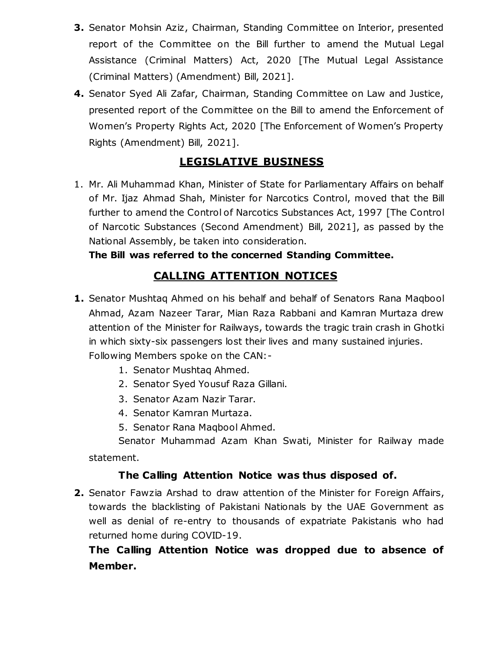- **3.** Senator Mohsin Aziz, Chairman, Standing Committee on Interior, presented report of the Committee on the Bill further to amend the Mutual Legal Assistance (Criminal Matters) Act, 2020 [The Mutual Legal Assistance (Criminal Matters) (Amendment) Bill, 2021].
- **4.** Senator Syed Ali Zafar, Chairman, Standing Committee on Law and Justice, presented report of the Committee on the Bill to amend the Enforcement of Women's Property Rights Act, 2020 [The Enforcement of Women's Property Rights (Amendment) Bill, 2021].

### **LEGISLATIVE BUSINESS**

1. Mr. Ali Muhammad Khan, Minister of State for Parliamentary Affairs on behalf of Mr. Ijaz Ahmad Shah, Minister for Narcotics Control, moved that the Bill further to amend the Control of Narcotics Substances Act, 1997 [The Control of Narcotic Substances (Second Amendment) Bill, 2021], as passed by the National Assembly, be taken into consideration.

**The Bill was referred to the concerned Standing Committee.**

### **CALLING ATTENTION NOTICES**

- **1.** Senator Mushtaq Ahmed on his behalf and behalf of Senators Rana Maqbool Ahmad, Azam Nazeer Tarar, Mian Raza Rabbani and Kamran Murtaza drew attention of the Minister for Railways, towards the tragic train crash in Ghotki in which sixty-six passengers lost their lives and many sustained injuries. Following Members spoke on the CAN:-
	- 1. Senator Mushtaq Ahmed.
	- 2. Senator Syed Yousuf Raza Gillani.
	- 3. Senator Azam Nazir Tarar.
	- 4. Senator Kamran Murtaza.
	- 5. Senator Rana Maqbool Ahmed.

Senator Muhammad Azam Khan Swati, Minister for Railway made statement.

#### **The Calling Attention Notice was thus disposed of.**

**2.** Senator Fawzia Arshad to draw attention of the Minister for Foreign Affairs, towards the blacklisting of Pakistani Nationals by the UAE Government as well as denial of re-entry to thousands of expatriate Pakistanis who had returned home during COVID-19.

### **The Calling Attention Notice was dropped due to absence of Member.**